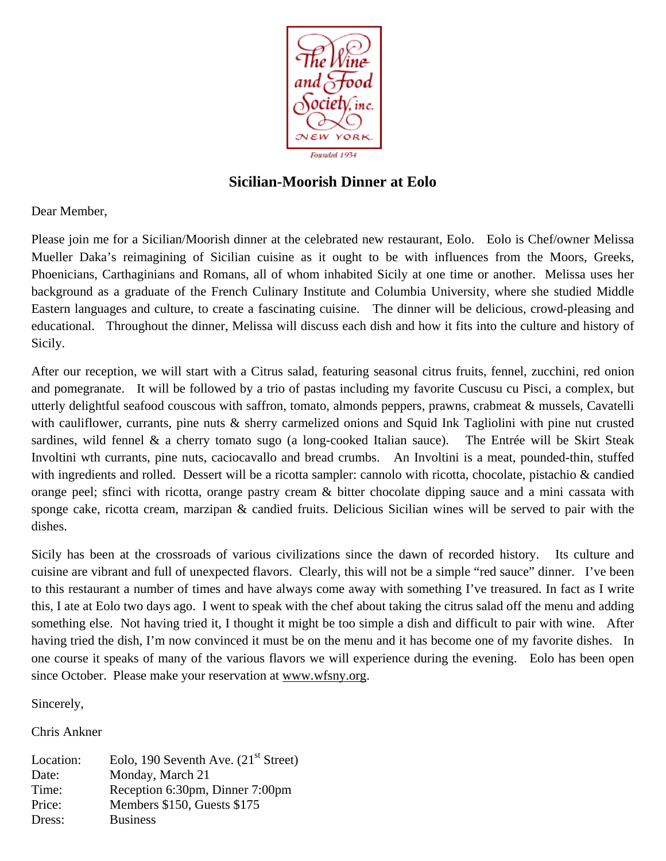

# **Sicilian-Moorish Dinner at Eolo**

Dear Member,

Please join me for a Sicilian/Moorish dinner at the celebrated new restaurant, Eolo. Eolo is Chef/owner Melissa Mueller Daka's reimagining of Sicilian cuisine as it ought to be with influences from the Moors, Greeks, Phoenicians, Carthaginians and Romans, all of whom inhabited Sicily at one time or another. Melissa uses her background as a graduate of the French Culinary Institute and Columbia University, where she studied Middle Eastern languages and culture, to create a fascinating cuisine. The dinner will be delicious, crowd-pleasing and educational. Throughout the dinner, Melissa will discuss each dish and how it fits into the culture and history of Sicily.

After our reception, we will start with a Citrus salad, featuring seasonal citrus fruits, fennel, zucchini, red onion and pomegranate. It will be followed by a trio of pastas including my favorite Cuscusu cu Pisci, a complex, but utterly delightful seafood couscous with saffron, tomato, almonds peppers, prawns, crabmeat & mussels, Cavatelli with cauliflower, currants, pine nuts & sherry carmelized onions and Squid Ink Tagliolini with pine nut crusted sardines, wild fennel & a cherry tomato sugo (a long-cooked Italian sauce). The Entrée will be Skirt Steak Involtini wth currants, pine nuts, caciocavallo and bread crumbs. An Involtini is a meat, pounded-thin, stuffed with ingredients and rolled. Dessert will be a ricotta sampler: cannolo with ricotta, chocolate, pistachio & candied orange peel; sfinci with ricotta, orange pastry cream & bitter chocolate dipping sauce and a mini cassata with sponge cake, ricotta cream, marzipan & candied fruits. Delicious Sicilian wines will be served to pair with the dishes.

Sicily has been at the crossroads of various civilizations since the dawn of recorded history. Its culture and cuisine are vibrant and full of unexpected flavors. Clearly, this will not be a simple "red sauce" dinner. I've been to this restaurant a number of times and have always come away with something I've treasured. In fact as I write this, I ate at Eolo two days ago. I went to speak with the chef about taking the citrus salad off the menu and adding something else. Not having tried it, I thought it might be too simple a dish and difficult to pair with wine. After having tried the dish, I'm now convinced it must be on the menu and it has become one of my favorite dishes. In one course it speaks of many of the various flavors we will experience during the evening. Eolo has been open since October. Please make your reservation at www.wfsny.org.

Sincerely,

Chris Ankner

Location: Eolo, 190 Seventh Ave.  $(21<sup>st</sup> Street)$ Date: Monday, March 21 Time: Reception 6:30pm, Dinner 7:00pm Price: Members \$150, Guests \$175 Dress: Business